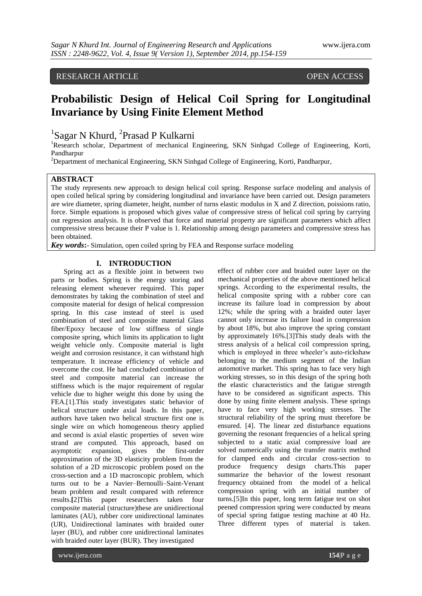# RESEARCH ARTICLE OPEN ACCESS

# **Probabilistic Design of Helical Coil Spring for Longitudinal Invariance by Using Finite Element Method**

<sup>1</sup>Sagar N Khurd, <sup>2</sup>Prasad P Kulkarni

<sup>1</sup>Research scholar, Department of mechanical Engineering, SKN Sinhgad College of Engineering, Korti, Pandharpur

<sup>2</sup>Department of mechanical Engineering, SKN Sinhgad College of Engineering, Korti, Pandharpur,

## **ABSTRACT**

The study represents new approach to design helical coil spring. Response surface modeling and analysis of open coiled helical spring by considering longitudinal and invariance have been carried out. Design parameters are wire diameter, spring diameter, height, number of turns elastic modulus in X and Z direction, poissions ratio, force. Simple equations is proposed which gives value of compressive stress of helical coil spring by carrying out regression analysis. It is observed that force and material property are significant parameters which affect compressive stress because their P value is 1. Relationship among design parameters and compressive stress has been obtained.

*Key words***:**- Simulation, open coiled spring by FEA and Response surface modeling

## **I. INTRODUCTION**

Spring act as a flexible joint in between two parts or bodies. Spring is the energy storing and releasing element whenever required. This paper demonstrates by taking the combination of steel and composite material for design of helical compression spring. In this case instead of steel is used combination of steel and composite material Glass fiber/Epoxy because of low stiffness of single composite spring, which limits its application to light weight vehicle only. Composite material is light weight and corrosion resistance, it can withstand high temperature. It increase efficiency of vehicle and overcome the cost. He had concluded combination of steel and composite material can increase the stiffness which is the major requirement of regular vehicle due to higher weight this done by using the FEA.[1].This study investigates static behavior of helical structure under axial loads. In this paper, authors have taken two helical structure first one is single wire on which homogeneous theory applied and second is axial elastic properties of seven wire strand are computed. This approach, based on asymptotic expansion, gives the first-order approximation of the 3D elasticity problem from the solution of a 2D microscopic problem posed on the cross-section and a 1D macroscopic problem, which turns out to be a Navier–Bernoulli–Saint-Venant beam problem and result compared with reference results.**[**2]This paper researchers taken four composite material (structure)these are unidirectional laminates (AU), rubber core unidirectional laminates (UR), Unidirectional laminates with braided outer layer (BU), and rubber core unidirectional laminates with braided outer layer (BUR). They investigated

effect of rubber core and braided outer layer on the mechanical properties of the above mentioned helical springs. According to the experimental results, the helical composite spring with a rubber core can increase its failure load in compression by about 12%; while the spring with a braided outer layer cannot only increase its failure load in compression by about 18%, but also improve the spring constant by approximately 16%.[3]This study deals with the stress analysis of a helical coil compression spring, which is employed in three wheeler's auto-rickshaw belonging to the medium segment of the Indian automotive market. This spring has to face very high working stresses, so in this design of the spring both the elastic characteristics and the fatigue strength have to be considered as significant aspects. This done by using finite element analysis. These springs have to face very high working stresses. The structural reliability of the spring must therefore be ensured. [4]. The linear zed disturbance equations governing the resonant frequencies of a helical spring subjected to a static axial compressive load are solved numerically using the transfer matrix method for clamped ends and circular cross-section to produce frequency design charts.This paper summarize the behavior of the lowest resonant frequency obtained from the model of a helical compression spring with an initial number of turns.[5]In this paper, long term fatigue test on shot peened compression spring were conducted by means of special spring fatigue testing machine at 40 Hz. Three different types of material is taken.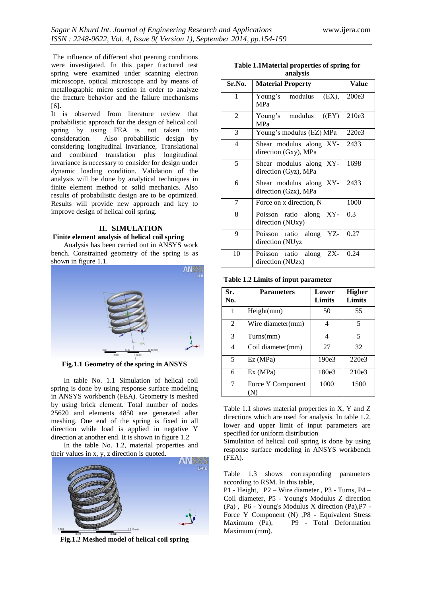The influence of different shot peening conditions were investigated. In this paper fractured test spring were examined under scanning electron microscope, optical microscope and by means of metallographic micro section in order to analyze the fracture behavior and the failure mechanisms [6]**.**

It is observed from literature review that probabilistic approach for the design of helical coil spring by using FEA is not taken into consideration. Also probabilistic design by considering longitudinal invariance, Translational and combined translation plus longitudinal invariance is necessary to consider for design under dynamic loading condition. Validation of the analysis will be done by analytical techniques in finite element method or solid mechanics. Also results of probabilistic design are to be optimized. Results will provide new approach and key to improve design of helical coil spring.

## **II. SIMULATION Finite element analysis of helical coil spring**

Analysis has been carried out in ANSYS work bench. Constrained geometry of the spring is as shown in figure 1.1.



**Fig.1.1 Geometry of the spring in ANSYS**

In table No. 1.1 Simulation of helical coil spring is done by using response surface modeling in ANSYS workbench (FEA). Geometry is meshed by using brick element. Total number of nodes 25620 and elements 4850 are generated after meshing. One end of the spring is fixed in all direction while load is applied in negative Y direction at another end. It is shown in figure 1.2

In the table No. 1.2, material properties and their values in x, y, z direction is quoted.



**Fig.1.2 Meshed model of helical coil spring**

**Table 1.1Material properties of spring for analysis**

| Sr.No. | <b>Material Property</b>                        | Value |
|--------|-------------------------------------------------|-------|
| 1      | Young's modulus<br>(EX),<br><b>MPa</b>          | 200e3 |
| 2      | Young's modulus<br>(EY)<br><b>MPa</b>           | 210e3 |
| 3      | Young's modulus (EZ) MPa                        | 220e3 |
| 4      | Shear modulus along XY-<br>direction (Gxy), MPa | 2433  |
| 5      | Shear modulus along XY-<br>direction (Gyz), MPa | 1698  |
| 6      | Shear modulus along XY-<br>direction (Gzx), MPa | 2433  |
| 7      | Force on x direction, N                         | 1000  |
| 8      | Poisson ratio along XY-<br>direction (NUxy)     | 0.3   |
| 9      | Poisson ratio along<br>YZ-<br>direction (NUyz   | 0.27  |
| 10     | Poisson ratio along ZX-<br>direction (NUzx)     | 0.24  |

**Table 1.2 Limits of input parameter**

| Sr.<br>No.               | <b>Parameters</b> | Lower<br>Limits | <b>Higher</b><br>Limits |
|--------------------------|-------------------|-----------------|-------------------------|
|                          | Height(mm)        | 50              | 55                      |
| $\mathfrak{D}$           | Wire diameter(mm) | 4               | 5                       |
| $\mathcal{R}$            | Turns(mm)         | 4               | 5                       |
| $\overline{\mathcal{A}}$ | Coil diameter(mm) | 27              | 32                      |
| $\overline{5}$           | Ex(MPa)           | 190e3           | 220e3                   |
| 6                        | Ex (MPa)          | 180e3           | 210e3                   |
| 7                        | Force Y Component | 1000            | 1500                    |

Table 1.1 shows material properties in X, Y and Z directions which are used for analysis. In table 1.2, lower and upper limit of input parameters are specified for uniform distribution

Simulation of helical coil spring is done by using response surface modeling in ANSYS workbench (FEA).

Table 1.3 shows corresponding parameters according to RSM. In this table,

P1 - Height, P2 – Wire diameter , P3 - Turns, P4 – Coil diameter, P5 - Young's Modulus Z direction (Pa) , P6 - Young's Modulus X direction (Pa),P7 - Force Y Component (N) ,P8 - Equivalent Stress Maximum (Pa), P9 - Total Deformation Maximum (mm).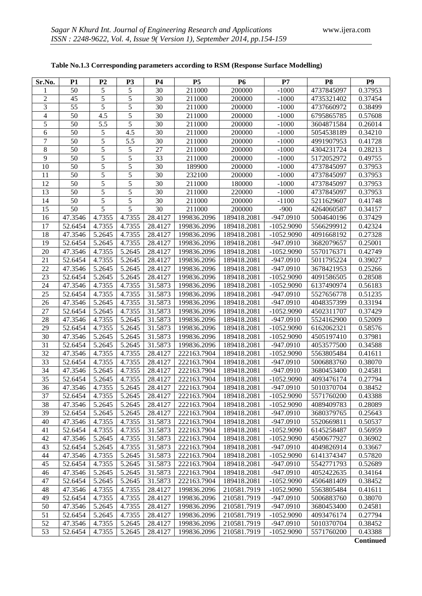| Sr.No.          | <b>P1</b>          | P <sub>2</sub>   | P <sub>3</sub>   | <b>P4</b>          | <b>P5</b>                  | <b>P6</b>                  | P7                          | P <sub>8</sub>           | P <sub>9</sub>     |
|-----------------|--------------------|------------------|------------------|--------------------|----------------------------|----------------------------|-----------------------------|--------------------------|--------------------|
|                 | 50                 | 5                | 5                | 30                 | 211000                     | 200000                     | $-1000$                     | 4737845097               | 0.37953            |
| $\overline{c}$  | 45                 | 5                | 5                | 30                 | 211000                     | 200000                     | $-1000$                     | 4735321402               | 0.37454            |
| 3               | 55                 | 5                | 5                | 30                 | 211000                     | 200000                     | $-1000$                     | 4737660972               | 0.38499            |
| 4               | 50                 | 4.5              | 5                | 30                 | 211000                     | 200000                     | $-1000$                     | 6795865785               | 0.57608            |
| 5               | 50                 | 5.5              | 5                | 30                 | 211000                     | 200000                     | $-1000$                     | 3604871584               | 0.26014            |
| 6               | 50                 | 5                | 4.5              | 30                 | 211000                     | 200000                     | $-1000$                     | 5054538189               | 0.34210            |
| 7               | 50                 | 5                | 5.5              | 30                 | 211000                     | 200000                     | $-1000$                     | 4991907953               | 0.41728            |
| 8               | 50                 | 5                | 5                | 27                 | 211000                     | 200000                     | $-1000$                     | 4304231724               | 0.28213            |
| 9               | 50                 | 5                | 5                | 33                 | 211000                     | 200000                     | $-1000$                     | 5172052972               | 0.49755            |
| 10              | 50                 | 5                | 5                | 30                 | 189900                     | 200000                     | $-1000$                     | 4737845097               | 0.37953            |
| 11              | 50                 | 5                | 5                | $\overline{30}$    | 232100                     | 200000                     | $-1000$                     | 4737845097               | 0.37953            |
| 12              | 50                 | 5                | 5                | 30                 | 211000                     | 180000                     | $-1000$                     | 4737845097               | 0.37953            |
| 13              | 50                 | 5                | 5                | 30                 | 211000                     | 220000                     | $-1000$                     | 4737845097               | 0.37953            |
| 14              | 50                 | $\overline{5}$   | 5                | 30                 | 211000                     | 200000                     | $-1100$                     | 5211629607               | 0.41748            |
| 15              | 50                 | $\overline{5}$   | $\overline{5}$   | 30                 | 211000                     | 200000                     | $-900$                      | 4264060587               | 0.34157            |
| 16              | 47.3546            | 4.7355           | 4.7355           | 28.4127            | 199836.2096                | 189418.2081                | $-947.0910$                 | 5004640196               | 0.37429            |
| 17              | 52.6454            | 4.7355           | 4.7355           | 28.4127            | 199836.2096                | 189418.2081                | $-1052.9090$                | 5566299912               | 0.42324            |
| 18              | 47.3546            | 5.2645           | 4.7355           | 28.4127            | 199836.2096                | 189418.2081                | $-1052.9090$                | 4091668192               | 0.27328            |
| 19              | 52.6454            | 5.2645           | 4.7355           | 28.4127            | 199836.2096                | 189418.2081                | $-947.0910$                 | 3682079657               | 0.25001            |
| 20              | 47.3546            | 4.7355           | 5.2645           | 28.4127            | 199836.2096                | 189418.2081                | $-1052.9090$                | 5570176371               | 0.42749            |
| $\overline{21}$ | 52.6454            | 4.7355           | 5.2645           | 28.4127            | 199836.2096                | 189418.2081                | -947.0910                   | 5011795224               | 0.39027            |
| $\overline{22}$ | 47.3546            | 5.2645           | 5.2645           | 28.4127            | 199836.2096                | 189418.2081                | $-947.0910$                 | 3678421953               | 0.25266            |
| $\overline{23}$ | 52.6454            | 5.2645           | 5.2645           | 28.4127            | 199836.2096                | 189418.2081                | $-1052.9090$                | 4091586505               | 0.28508            |
| 24              | 47.3546            | 4.7355           | 4.7355           | 31.5873            | 199836.2096                | 189418.2081                | $-1052.9090$                | 6137490974               | 0.56183            |
| 25              | 52.6454            | 4.7355           | 4.7355           | 31.5873            | 199836.2096                | 189418.2081                | -947.0910                   | 5527656778               | 0.51235            |
| 26              | 47.3546            | 5.2645           | 4.7355           | 31.5873            | 199836.2096                | 189418.2081                | -947.0910                   | 4048357399               | 0.33194            |
| $\overline{27}$ | 52.6454            | 5.2645           | 4.7355           | 31.5873            | 199836.2096                | 189418.2081                | $-1052.9090$                | 4502311707               | 0.37429            |
| 28              | 47.3546            | 4.7355           | 5.2645           | 31.5873            | 199836.2096                | 189418.2081                | -947.0910                   | 5524162900               | 0.52009            |
| $\overline{29}$ | 52.6454            | 4.7355           | 5.2645           | 31.5873            | 199836.2096                | 189418.2081                | $-1052.9090$                | 6162062321               | 0.58576            |
| $\overline{30}$ | 47.3546            | 5.2645           | 5.2645           | 31.5873            | 199836.2096                | 189418.2081                | $-1052.9090$                | 4505197410               | 0.37981            |
| $\overline{31}$ | 52.6454            | 5.2645           | 5.2645           | 31.5873            | 199836.2096                | 189418.2081                | -947.0910                   | 4053577500               | 0.34588            |
| 32              | 47.3546            | 4.7355           | 4.7355           | 28.4127            | 222163.7904                | 189418.2081                | $-1052.9090$                | 5563805484               | 0.41611            |
| 33              | 52.6454            | 4.7355           | 4.7355           | 28.4127            | 222163.7904                | 189418.2081                | $-947.0910$                 | 5006883760               | 0.38070            |
| 34              | 47.3546            | 5.2645           | 4.7355           | 28.4127            | 222163.7904                | 189418.2081                | -947.0910                   | 3680453400               | 0.24581            |
| 35              | 52.6454            | 5.2645           | 4.7355           | 28.4127            | 222163.7904                | 189418.2081                | $-1052.9090$                | 4093476174               | 0.27794            |
| $\overline{36}$ | 47.3546            | 4.7355           | 5.2645           | 28.4127            | 222163.7904                | 189418.2081                | $-947.0910$                 | 5010370704               | 0.38452            |
| $\overline{37}$ | 52.6454            | 4.7355           | 5.2645           | 28.4127            | 222163.7904                | 189418.2081                | $-1052.9090$                | 5571760200               | 0.43388            |
| 38              | 47.3546            | 5.2645           | 5.2645           | 28.4127            | 222163.7904                | 189418.2081                | $-1052.9090$                | 4089409783               | 0.28089            |
| 39              | 52.6454            | 5.2645           | 5.2645           | 28.4127            | 222163.7904                | 189418.2081                | -947.0910                   | 3680379765               | 0.25643            |
| 40              | 47.3546<br>52.6454 | 4.7355           | 4.7355           | 31.5873            | 222163.7904                | 189418.2081                | $-947.0910$                 | 5520669811               | 0.50537            |
| 41              |                    | 4.7355           | 4.7355           | 31.5873            | 222163.7904                | 189418.2081                | $-1052.9090$                | 6145258487               | 0.56959            |
| 42              | 47.3546            | 5.2645           | 4.7355           | 31.5873            | 222163.7904                | 189418.2081                | $-1052.9090$<br>$-947.0910$ | 4500677927               | 0.36902            |
| 43<br>44        | 52.6454            | 5.2645<br>4.7355 | 4.7355<br>5.2645 | 31.5873            | 222163.7904                | 189418.2081                | $-1052.9090$                | 4049826914               | 0.33667            |
| 45              | 47.3546<br>52.6454 | 4.7355           | 5.2645           | 31.5873            | 222163.7904<br>222163.7904 | 189418.2081<br>189418.2081 | -947.0910                   | 6141374347<br>5542771793 | 0.57820            |
| 46              |                    |                  |                  | 31.5873            | 222163.7904                |                            |                             |                          | 0.52689            |
| 47              | 47.3546<br>52.6454 | 5.2645<br>5.2645 | 5.2645<br>5.2645 | 31.5873<br>31.5873 | 222163.7904                | 189418.2081<br>189418.2081 | -947.0910<br>$-1052.9090$   | 4052422635<br>4506481409 | 0.34164<br>0.38452 |
| 48              | 47.3546            | 4.7355           | 4.7355           | 28.4127            | 199836.2096                | 210581.7919                | $-1052.9090$                | 5563805484               | 0.41611            |
| 49              | 52.6454            | 4.7355           | 4.7355           | 28.4127            | 199836.2096                | 210581.7919                | $-947.0910$                 | 5006883760               | 0.38070            |
| 50              | 47.3546            | 5.2645           | 4.7355           | 28.4127            | 199836.2096                | 210581.7919                | -947.0910                   | 3680453400               | 0.24581            |
| 51              | 52.6454            | 5.2645           | 4.7355           | 28.4127            | 199836.2096                | 210581.7919                | $-1052.9090$                | 4093476174               | 0.27794            |
| 52              | 47.3546            | 4.7355           | 5.2645           | 28.4127            | 199836.2096                | 210581.7919                | -947.0910                   | 5010370704               | 0.38452            |
| 53              | 52.6454            | 4.7355           | 5.2645           | 28.4127            | 199836.2096                | 210581.7919                | $-1052.9090$                | 5571760200               | 0.43388            |
|                 |                    |                  |                  |                    |                            |                            |                             |                          |                    |

## **Table No.1.3 Corresponding parameters according to RSM (Response Surface Modelling)**

**Continued**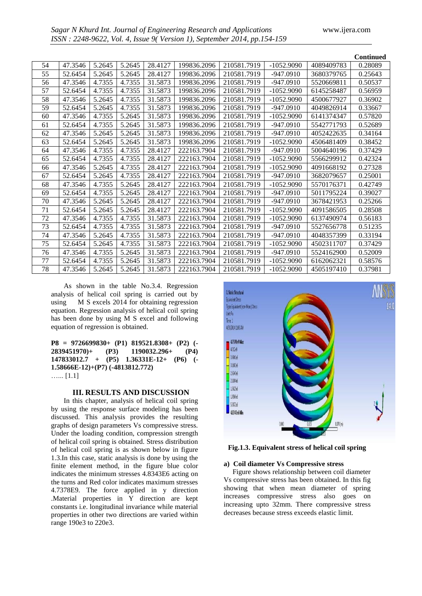|    |         |        |        |         |             |             |              |            | <b>Continued</b> |
|----|---------|--------|--------|---------|-------------|-------------|--------------|------------|------------------|
| 54 | 47.3546 | 5.2645 | 5.2645 | 28.4127 | 199836.2096 | 210581.7919 | $-1052.9090$ | 4089409783 | 0.28089          |
| 55 | 52.6454 | 5.2645 | 5.2645 | 28.4127 | 199836.2096 | 210581.7919 | $-947.0910$  | 3680379765 | 0.25643          |
| 56 | 47.3546 | 4.7355 | 4.7355 | 31.5873 | 199836.2096 | 210581.7919 | $-947.0910$  | 5520669811 | 0.50537          |
| 57 | 52.6454 | 4.7355 | 4.7355 | 31.5873 | 199836.2096 | 210581.7919 | $-1052.9090$ | 6145258487 | 0.56959          |
| 58 | 47.3546 | 5.2645 | 4.7355 | 31.5873 | 199836.2096 | 210581.7919 | $-1052.9090$ | 4500677927 | 0.36902          |
| 59 | 52.6454 | 5.2645 | 4.7355 | 31.5873 | 199836.2096 | 210581.7919 | -947.0910    | 4049826914 | 0.33667          |
| 60 | 47.3546 | 4.7355 | 5.2645 | 31.5873 | 199836.2096 | 210581.7919 | $-1052.9090$ | 6141374347 | 0.57820          |
| 61 | 52.6454 | 4.7355 | 5.2645 | 31.5873 | 199836.2096 | 210581.7919 | -947.0910    | 5542771793 | 0.52689          |
| 62 | 47.3546 | 5.2645 | 5.2645 | 31.5873 | 199836.2096 | 210581.7919 | -947.0910    | 4052422635 | 0.34164          |
| 63 | 52.6454 | 5.2645 | 5.2645 | 31.5873 | 199836.2096 | 210581.7919 | $-1052.9090$ | 4506481409 | 0.38452          |
| 64 | 47.3546 | 4.7355 | 4.7355 | 28.4127 | 222163.7904 | 210581.7919 | -947.0910    | 5004640196 | 0.37429          |
| 65 | 52.6454 | 4.7355 | 4.7355 | 28.4127 | 222163.7904 | 210581.7919 | $-1052.9090$ | 5566299912 | 0.42324          |
| 66 | 47.3546 | 5.2645 | 4.7355 | 28.4127 | 222163.7904 | 210581.7919 | $-1052.9090$ | 4091668192 | 0.27328          |
| 67 | 52.6454 | 5.2645 | 4.7355 | 28.4127 | 222163.7904 | 210581.7919 | $-947.0910$  | 3682079657 | 0.25001          |
| 68 | 47.3546 | 4.7355 | 5.2645 | 28.4127 | 222163.7904 | 210581.7919 | $-1052.9090$ | 5570176371 | 0.42749          |
| 69 | 52.6454 | 4.7355 | 5.2645 | 28.4127 | 222163.7904 | 210581.7919 | $-947.0910$  | 5011795224 | 0.39027          |
| 70 | 47.3546 | 5.2645 | 5.2645 | 28.4127 | 222163.7904 | 210581.7919 | -947.0910    | 3678421953 | 0.25266          |
| 71 | 52.6454 | 5.2645 | 5.2645 | 28.4127 | 222163.7904 | 210581.7919 | $-1052.9090$ | 4091586505 | 0.28508          |
| 72 | 47.3546 | 4.7355 | 4.7355 | 31.5873 | 222163.7904 | 210581.7919 | $-1052.9090$ | 6137490974 | 0.56183          |
| 73 | 52.6454 | 4.7355 | 4.7355 | 31.5873 | 222163.7904 | 210581.7919 | $-947.0910$  | 5527656778 | 0.51235          |
| 74 | 47.3546 | 5.2645 | 4.7355 | 31.5873 | 222163.7904 | 210581.7919 | -947.0910    | 4048357399 | 0.33194          |
| 75 | 52.6454 | 5.2645 | 4.7355 | 31.5873 | 222163.7904 | 210581.7919 | $-1052.9090$ | 4502311707 | 0.37429          |
| 76 | 47.3546 | 4.7355 | 5.2645 | 31.5873 | 222163.7904 | 210581.7919 | -947.0910    | 5524162900 | 0.52009          |
| 77 | 52.6454 | 4.7355 | 5.2645 | 31.5873 | 222163.7904 | 210581.7919 | $-1052.9090$ | 6162062321 | 0.58576          |
| 78 | 47.3546 | 5.2645 | 5.2645 | 31.5873 | 222163.7904 | 210581.7919 | $-1052.9090$ | 4505197410 | 0.37981          |

As shown in the table No.3.4. Regression analysis of helical coil spring is carried out by using M S excels 2014 for obtaining regression equation. Regression analysis of helical coil spring has been done by using M S excel and following equation of regression is obtained.

**P8 = 9726699830+ (P1) 819521.8308+ (P2) (- 2839451970)+ (P3) 1190032.296+ (P4) 147833012.7 + (P5) 1.36331E-12+ (P6) (- 1.58666E-12)+(P7) (-4813812.772)** …... [1.1]

## **III. RESULTS AND DISCUSSION**

In this chapter, analysis of helical coil spring by using the response surface modeling has been discussed. This analysis provides the resulting graphs of design parameters Vs compressive stress. Under the loading condition, compression strength of helical coil spring is obtained. Stress distribution of helical coil spring is as shown below in figure 1.3.In this case, static analysis is done by using the finite element method, in the figure blue color indicates the minimum stresses 4.8343E6 acting on the turns and Red color indicates maximum stresses 4.7378E9. The force applied in y direction .Material properties in Y direction are kept constants i.e. longitudinal invariance while material properties in other two directions are varied within range 190e3 to 220e3.



**Fig.1.3. Equivalent stress of helical coil spring**

#### **a) Coil diameter Vs Compressive stress**

 Figure shows relationship between coil diameter Vs compressive stress has been obtained. In this fig showing that when mean diameter of spring increases compressive stress also goes on increasing upto 32mm. There compressive stress decreases because stress exceeds elastic limit.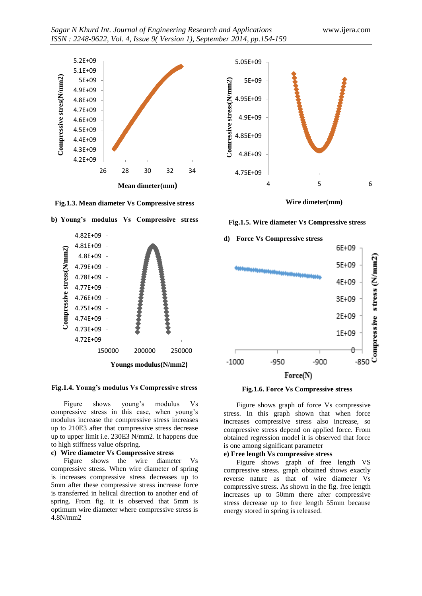

**Fig.1.3. Mean diameter Vs Compressive stress**





Figure shows young's modulus Vs compressive stress in this case, when young's modulus increase the compressive stress increases up to 210E3 after that compressive stress decrease up to upper limit i.e. 230E3 N/mm2. It happens due to high stiffness value ofspring.

#### **c) Wire diameter Vs Compressive stress**

Figure shows the wire diameter Vs compressive stress. When wire diameter of spring is increases compressive stress decreases up to 5mm after these compressive stress increase force is transferred in helical direction to another end of spring. From fig. it is observed that 5mm is optimum wire diameter where compressive stress is 4.8N/mm2



**Wire dimeter(mm)**

## **Fig.1.5. Wire diameter Vs Compressive stress**





Figure shows graph of force Vs compressive stress. In this graph shown that when force increases compressive stress also increase, so compressive stress depend on applied force. From obtained regression model it is observed that force is one among significant parameter

## **e) Free length Vs compressive stress**

Figure shows graph of free length VS compressive stress. graph obtained shows exactly reverse nature as that of wire diameter Vs compressive stress. As shown in the fig. free length increases up to 50mm there after compressive stress decrease up to free length 55mm because energy stored in spring is released.